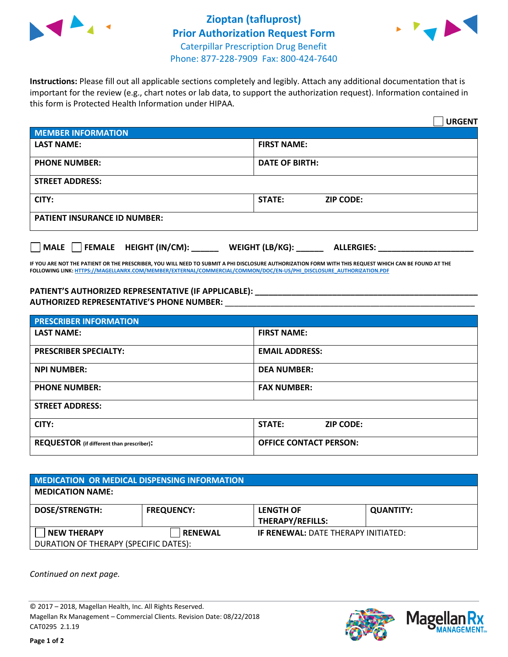

## **Zioptan (tafluprost) Prior Authorization Request Form** Caterpillar Prescription Drug Benefit Phone: 877-228-7909 Fax: 800-424-7640



**Instructions:** Please fill out all applicable sections completely and legibly. Attach any additional documentation that is important for the review (e.g., chart notes or lab data, to support the authorization request). Information contained in this form is Protected Health Information under HIPAA.

|                                       | <b>URGENT</b>                        |  |  |  |
|---------------------------------------|--------------------------------------|--|--|--|
| <b>MEMBER INFORMATION</b>             |                                      |  |  |  |
| <b>LAST NAME:</b>                     | <b>FIRST NAME:</b>                   |  |  |  |
| <b>PHONE NUMBER:</b>                  | <b>DATE OF BIRTH:</b>                |  |  |  |
| <b>STREET ADDRESS:</b>                |                                      |  |  |  |
| CITY:                                 | <b>ZIP CODE:</b><br>STATE:           |  |  |  |
| <b>PATIENT INSURANCE ID NUMBER:</b>   |                                      |  |  |  |
| FEMALE HEIGHT (IN/CM):<br><b>MALE</b> | WEIGHT (LB/KG):<br><b>ALLERGIES:</b> |  |  |  |

**IF YOU ARE NOT THE PATIENT OR THE PRESCRIBER, YOU WILL NEED TO SUBMIT A PHI DISCLOSURE AUTHORIZATION FORM WITH THIS REQUEST WHICH CAN BE FOUND AT THE FOLLOWING LINK[: HTTPS://MAGELLANRX.COM/MEMBER/EXTERNAL/COMMERCIAL/COMMON/DOC/EN-US/PHI\\_DISCLOSURE\\_AUTHORIZATION.PDF](https://magellanrx.com/member/external/commercial/common/doc/en-us/PHI_Disclosure_Authorization.pdf)**

**PATIENT'S AUTHORIZED REPRESENTATIVE (IF APPLICABLE): \_\_\_\_\_\_\_\_\_\_\_\_\_\_\_\_\_\_\_\_\_\_\_\_\_\_\_\_\_\_\_\_\_\_\_\_\_\_\_\_\_\_\_\_\_\_\_\_\_ AUTHORIZED REPRESENTATIVE'S PHONE NUMBER:** \_\_\_\_\_\_\_\_\_\_\_\_\_\_\_\_\_\_\_\_\_\_\_\_\_\_\_\_\_\_\_\_\_\_\_\_\_\_\_\_\_\_\_\_\_\_\_\_\_\_\_\_\_\_\_

| <b>PRESCRIBER INFORMATION</b>             |                               |  |  |
|-------------------------------------------|-------------------------------|--|--|
| <b>LAST NAME:</b>                         | <b>FIRST NAME:</b>            |  |  |
| <b>PRESCRIBER SPECIALTY:</b>              | <b>EMAIL ADDRESS:</b>         |  |  |
| <b>NPI NUMBER:</b>                        | <b>DEA NUMBER:</b>            |  |  |
| <b>PHONE NUMBER:</b>                      | <b>FAX NUMBER:</b>            |  |  |
| <b>STREET ADDRESS:</b>                    |                               |  |  |
| CITY:                                     | STATE:<br><b>ZIP CODE:</b>    |  |  |
| REQUESTOR (if different than prescriber): | <b>OFFICE CONTACT PERSON:</b> |  |  |

| <b>MEDICATION OR MEDICAL DISPENSING INFORMATION</b> |                   |                                            |                  |  |  |
|-----------------------------------------------------|-------------------|--------------------------------------------|------------------|--|--|
| <b>MEDICATION NAME:</b>                             |                   |                                            |                  |  |  |
| <b>DOSE/STRENGTH:</b>                               | <b>FREQUENCY:</b> | <b>LENGTH OF</b>                           | <b>QUANTITY:</b> |  |  |
|                                                     |                   | <b>THERAPY/REFILLS:</b>                    |                  |  |  |
| <b>NEW THERAPY</b>                                  | <b>RENEWAL</b>    | <b>IF RENEWAL: DATE THERAPY INITIATED:</b> |                  |  |  |
| DURATION OF THERAPY (SPECIFIC DATES):               |                   |                                            |                  |  |  |

*Continued on next page.*

© 2017 – 2018, Magellan Health, Inc. All Rights Reserved. Magellan Rx Management – Commercial Clients. Revision Date: 08/22/2018 CAT0295 2.1.19